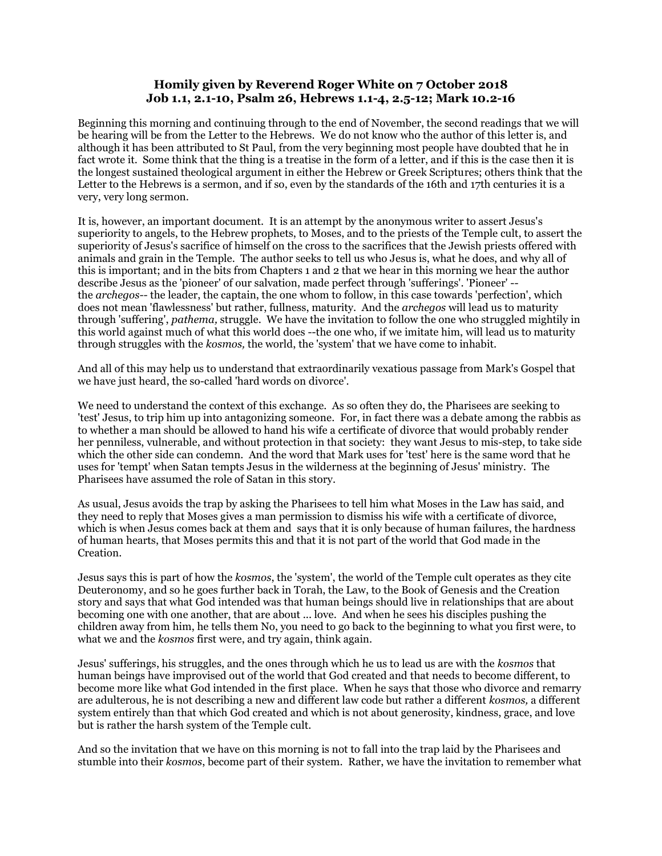## **Homily given by Reverend Roger White on 7 October 2018 Job 1.1, 2.1-10, Psalm 26, Hebrews 1.1-4, 2.5-12; Mark 10.2-16**

Beginning this morning and continuing through to the end of November, the second readings that we will be hearing will be from the Letter to the Hebrews. We do not know who the author of this letter is, and although it has been attributed to St Paul, from the very beginning most people have doubted that he in fact wrote it. Some think that the thing is a treatise in the form of a letter, and if this is the case then it is the longest sustained theological argument in either the Hebrew or Greek Scriptures; others think that the Letter to the Hebrews is a sermon, and if so, even by the standards of the 16th and 17th centuries it is a very, very long sermon.

It is, however, an important document. It is an attempt by the anonymous writer to assert Jesus's superiority to angels, to the Hebrew prophets, to Moses, and to the priests of the Temple cult, to assert the superiority of Jesus's sacrifice of himself on the cross to the sacrifices that the Jewish priests offered with animals and grain in the Temple. The author seeks to tell us who Jesus is, what he does, and why all of this is important; and in the bits from Chapters 1 and 2 that we hear in this morning we hear the author describe Jesus as the 'pioneer' of our salvation, made perfect through 'sufferings'. 'Pioneer' - the *archegos--* the leader, the captain, the one whom to follow, in this case towards 'perfection', which does not mean 'flawlessness' but rather, fullness, maturity. And the *archegos* will lead us to maturity through 'suffering', *pathema,* struggle. We have the invitation to follow the one who struggled mightily in this world against much of what this world does --the one who, if we imitate him, will lead us to maturity through struggles with the *kosmos,* the world, the 'system' that we have come to inhabit.

And all of this may help us to understand that extraordinarily vexatious passage from Mark's Gospel that we have just heard, the so-called 'hard words on divorce'.

We need to understand the context of this exchange. As so often they do, the Pharisees are seeking to 'test' Jesus, to trip him up into antagonizing someone. For, in fact there was a debate among the rabbis as to whether a man should be allowed to hand his wife a certificate of divorce that would probably render her penniless, vulnerable, and without protection in that society: they want Jesus to mis-step, to take side which the other side can condemn. And the word that Mark uses for 'test' here is the same word that he uses for 'tempt' when Satan tempts Jesus in the wilderness at the beginning of Jesus' ministry. The Pharisees have assumed the role of Satan in this story.

As usual, Jesus avoids the trap by asking the Pharisees to tell him what Moses in the Law has said, and they need to reply that Moses gives a man permission to dismiss his wife with a certificate of divorce, which is when Jesus comes back at them and says that it is only because of human failures, the hardness of human hearts, that Moses permits this and that it is not part of the world that God made in the Creation.

Jesus says this is part of how the *kosmos*, the 'system', the world of the Temple cult operates as they cite Deuteronomy, and so he goes further back in Torah, the Law, to the Book of Genesis and the Creation story and says that what God intended was that human beings should live in relationships that are about becoming one with one another, that are about ... love. And when he sees his disciples pushing the children away from him, he tells them No, you need to go back to the beginning to what you first were, to what we and the *kosmos* first were, and try again, think again.

Jesus' sufferings, his struggles, and the ones through which he us to lead us are with the *kosmos* that human beings have improvised out of the world that God created and that needs to become different, to become more like what God intended in the first place. When he says that those who divorce and remarry are adulterous, he is not describing a new and different law code but rather a different *kosmos,* a different system entirely than that which God created and which is not about generosity, kindness, grace, and love but is rather the harsh system of the Temple cult.

And so the invitation that we have on this morning is not to fall into the trap laid by the Pharisees and stumble into their *kosmos*, become part of their system. Rather, we have the invitation to remember what